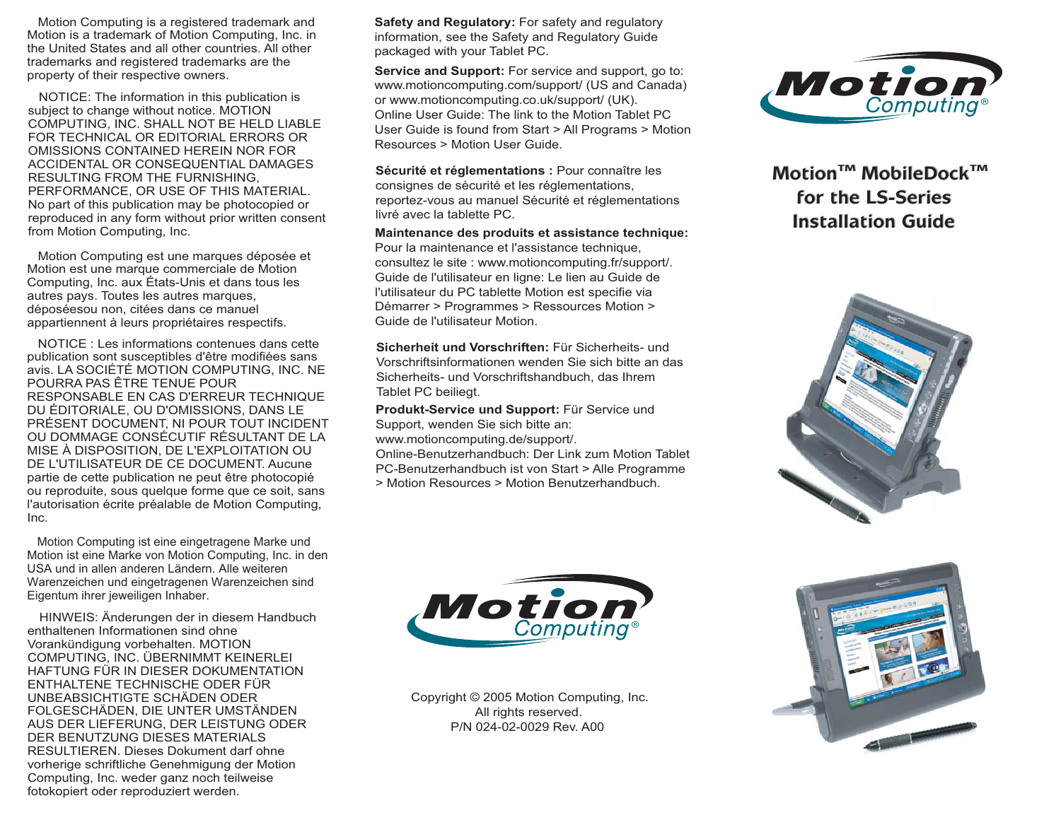Motion Computing is a registered trademark and Motion is a trademark of Motion Computing, Inc. in the United States and all other countries. All other trademarks and registered trademarks are the property of their respective owners.

 NOTICE: The information in this publication is subject to change without notice. MOTION COMPUTING, INC. SHALL NOT BE HELD LIABLE FOR TECHNICAL OR EDITORIAL ERRORS OR OMISSIONS CONTAINED HEREIN NOR FOR ACCIDENTAL OR CONSEQUENTIAL DAMAGES RESULTING FROM THE FURNISHING, PERFORMANCE, OR USE OF THIS MATERIAL. No part of this publication may be photocopied or reproduced in any form without prior written consent from Motion Computing, Inc.

 Motion Computing est une marques déposée et Motion est une marque commerciale de Motion Computing, Inc. aux États-Unis et dans tous les autres pays. Toutes les autres marques, déposéesou non, citées dans ce manuel appartiennent à leurs propriétaires respectifs.

 NOTICE : Les informations contenues dans cette publication sont susceptibles d'être modifiées sans avis. LA SOCIÉTÉ MOTION COMPUTING, INC. NE POURRA PAS ÊTRE TENUE POUR RESPONSABLE EN CAS D'ERREUR TECHNIQUE DU ÉDITORIALE, OU D'OMISSIONS, DANS LE PRÉSENT DOCUMENT, NI POUR TOUT INCIDENT OU DOMMAGE CONSÉCUTIF RÉSULTANT DE LA MISE À DISPOSITION, DE L'EXPLOITATION OU DE L'UTILISATEUR DE CE DOCUMENT. Aucune partie de cette publication ne peut être photocopié ou reproduite, sous quelque forme que ce soit, sans l'autorisation écrite préalable de Motion Computing, Inc.

 Motion Computing ist eine eingetragene Marke und Motion ist eine Marke von Motion Computing, Inc. in den USA und in allen anderen Ländern. Alle weiteren Warenzeichen und eingetragenen Warenzeichen sind Eigentum ihrer jeweiligen Inhaber.

HINWEIS: Änderungen der in diesem Handbuch enthaltenen Informationen sind ohne Vorankündigung vorbehalten. MOTION COMPUTING, INC. ÜBERNIMMT KEINERLEI HAFTUNG FÜR IN DIESER DOKUMENTATION ENTHALTENE TECHNISCHE ODER FÜR UNBEABSICHTIGTE SCHÄDEN ODER FOLGESCHÄDEN, DIE UNTER UMSTÄNDEN AUS DER LIEFERUNG, DER LEISTUNG ODER DER BENUTZUNG DIESES MATERIALS RESULTIEREN. Dieses Dokument darf ohne vorherige schriftliche Genehmigung der Motion Computing, Inc. weder ganz noch teilweise fotokopiert oder reproduziert werden.

**Safety and Regulatory:** For safety and regulatory information, see the Safety and Regulatory Guide packaged with your Tablet PC.

**Service and Support:** For service and support, go to:<br>
www.motioncomputing.co.uk/support/ (UK).<br>
Online User Guide: The link to the Motion Tablet PC<br>
User Guide is found from Start > All Programs > Motion<br>
Resources > Mo www.motioncomputing.com/support/ (US and Canada) or www.motioncomputing.co.uk/support/ (UK). Online User Guide: The link to the Motion Tablet PCUser Guide is found from Start > All Programs > Motion Resources > Motion User Guide.

**Sécurité et réglementations :** Pour connaître les consignes de sécurité et les réglementations, reportez-vous au manuel Sécurité et réglementations livré avec la tablette PC.

**Maintenance des produits et assistance technique:** Pour la maintenance et l'assistance technique, consultez le site : www.motioncomputing.fr/support/. Guide de l'utilisateur en ligne: Le lien au Guide de l'utilisateur du PC tablette Motion est specifie via Démarrer > Programmes > Ressources Motion > Guide de l'utilisateur Motion.

**Sicherheit und Vorschriften:** Für Sicherheits- und Vorschriftsinformationen wenden Sie sich bitte an das Sicherheits- und Vorschriftshandbuch, das Ihrem Tablet PC beiliegt.

**Produkt-Service und Support:** Für Service und Support, wenden Sie sich bitte an: www.motioncomputing.de/support/.

Online-Benutzerhandbuch: Der Link zum Motion Tablet PC-Benutzerhandbuch ist von Start > Alle Programme > Motion Resources > Motion Benutzerhandbuch.



**MotionTM MobileDockTM MotionTM MobileDockTM for the LS-Series for the LS-Series Installation Guide**





Copyright © 2005 Motion Computing, Inc. All rights reserved. P/N 024-02-0029 Rev. A00